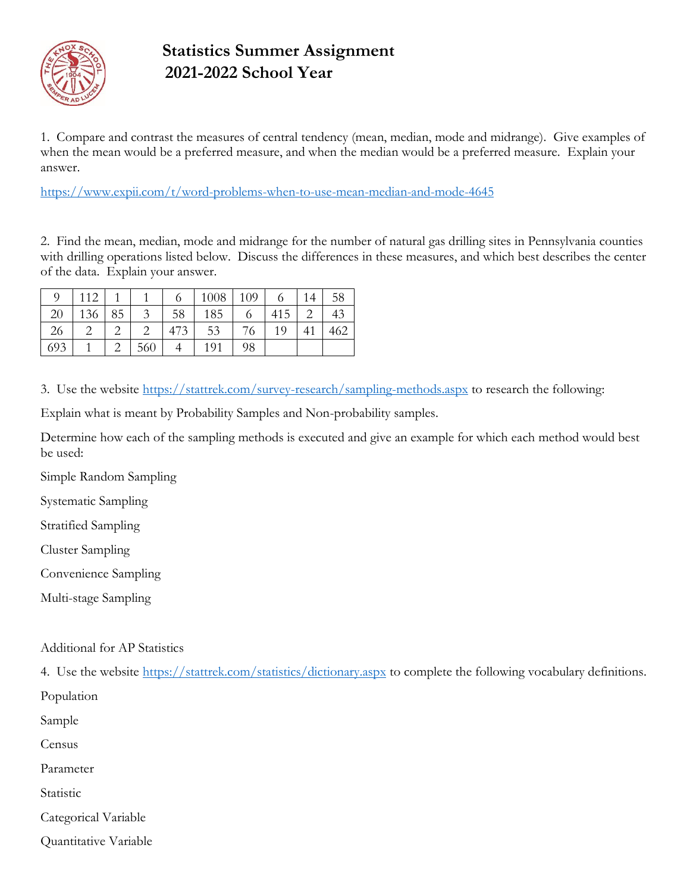

## **Statistics Summer Assignment 2021-2022 School Year**

1. Compare and contrast the measures of central tendency (mean, median, mode and midrange). Give examples of when the mean would be a preferred measure, and when the median would be a preferred measure. Explain your answer.

<https://www.expii.com/t/word-problems-when-to-use-mean-median-and-mode-4645>

2. Find the mean, median, mode and midrange for the number of natural gas drilling sites in Pennsylvania counties with drilling operations listed below. Discuss the differences in these measures, and which best describes the center of the data. Explain your answer.

|     | 112      |     | $\circ$ | 1008 | 109 |     | 14 | 58  |
|-----|----------|-----|---------|------|-----|-----|----|-----|
| 20  | 136   85 | 3   | 58      | 185  |     | 415 |    | 43  |
| 26  |          |     | 473     | 53   | 76  | 19  |    | 462 |
| 693 |          | 560 |         | 191  | 98  |     |    |     |

3. Use the website <https://stattrek.com/survey-research/sampling-methods.aspx> to research the following:

Explain what is meant by Probability Samples and Non-probability samples.

Determine how each of the sampling methods is executed and give an example for which each method would best be used:

Simple Random Sampling

Systematic Sampling

Stratified Sampling

Cluster Sampling

Convenience Sampling

Multi-stage Sampling

Additional for AP Statistics

4. Use the website <https://stattrek.com/statistics/dictionary.aspx> to complete the following vocabulary definitions.

Population

Sample

Census

Parameter

Statistic

Categorical Variable

Quantitative Variable